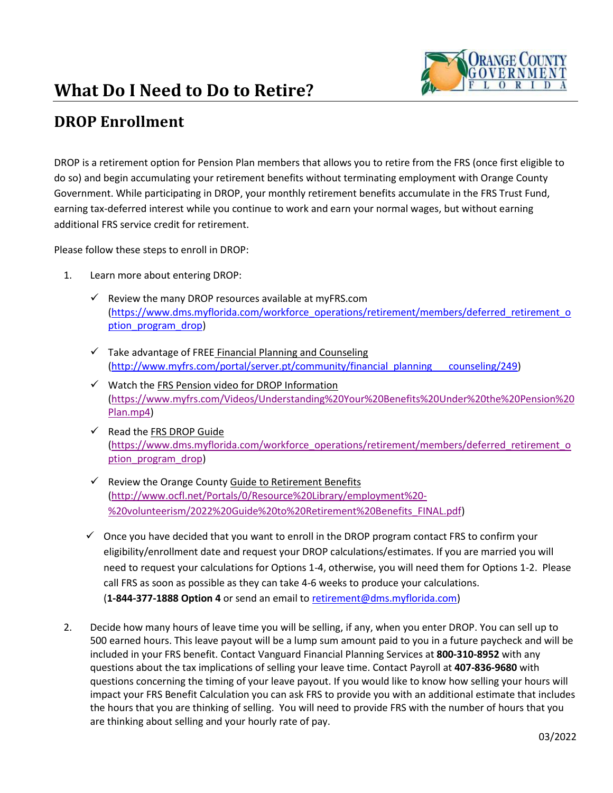## **What Do I Need to Do to Retire?**



## **DROP Enrollment**

DROP is a retirement option for Pension Plan members that allows you to retire from the FRS (once first eligible to do so) and begin accumulating your retirement benefits without terminating employment with Orange County Government. While participating in DROP, your monthly retirement benefits accumulate in the FRS Trust Fund, earning tax-deferred interest while you continue to work and earn your normal wages, but without earning additional FRS service credit for retirement.

Please follow these steps to enroll in DROP:

- 1. Learn more about entering DROP:
	- $\checkmark$  Review the many DROP resources available at myFRS.com [\(https://www.dms.myflorida.com/workforce\\_operations/retirement/members/deferred\\_retirement\\_o](https://www.dms.myflorida.com/workforce_operations/retirement/members/deferred_retirement_option_program_drop) ption program drop)
	- $\checkmark$  Take advantage of FREE Financial Planning and Counseling [\(http://www.myfrs.com/portal/server.pt/community/financial\\_planning\\_\\_\\_counseling/249\)](http://www.myfrs.com/portal/server.pt/community/financial_planning___counseling/249)
	- ✓ Watch the FRS Pension video for DROP Information [\(https://www.myfrs.com/Videos/Understanding%20Your%20Benefits%20Under%20the%20Pension%20](https://www.myfrs.com/Videos/Understanding%20Your%20Benefits%20Under%20the%20Pension%20Plan.mp4) [Plan.mp4\)](https://www.myfrs.com/Videos/Understanding%20Your%20Benefits%20Under%20the%20Pension%20Plan.mp4)
	- $\checkmark$  Read the FRS DROP Guide [\(https://www.dms.myflorida.com/workforce\\_operations/retirement/members/deferred\\_retirement\\_o](https://www.dms.myflorida.com/workforce_operations/retirement/members/deferred_retirement_option_program_drop) [ption\\_program\\_drop\)](https://www.dms.myflorida.com/workforce_operations/retirement/members/deferred_retirement_option_program_drop)
	- ✓ Review the Orange County Guide to Retirement Benefits [\(http://www.ocfl.net/Portals/0/Resource%20Library/employment%20-](http://www.ocfl.net/Portals/0/Resource%20Library/employment%20-%20volunteerism/2022%20Guide%20to%20Retirement%20Benefits_FINAL.pdf) [%20volunteerism/2022%20Guide%20to%20Retirement%20Benefits\\_FINAL.pdf\)](http://www.ocfl.net/Portals/0/Resource%20Library/employment%20-%20volunteerism/2022%20Guide%20to%20Retirement%20Benefits_FINAL.pdf)
	- $\checkmark$  Once you have decided that you want to enroll in the DROP program contact FRS to confirm your eligibility/enrollment date and request your DROP calculations/estimates. If you are married you will need to request your calculations for Options 1-4, otherwise, you will need them for Options 1-2. Please call FRS as soon as possible as they can take 4-6 weeks to produce your calculations. (**1-844-377-1888 Option 4** or send an email to [retirement@dms.myflorida.com\)](mailto:retirement@dms.myflorida.com)
- 2. Decide how many hours of leave time you will be selling, if any, when you enter DROP. You can sell up to 500 earned hours. This leave payout will be a lump sum amount paid to you in a future paycheck and will be included in your FRS benefit. Contact Vanguard Financial Planning Services at **800-310-8952** with any questions about the tax implications of selling your leave time. Contact Payroll at **407-836-9680** with questions concerning the timing of your leave payout. If you would like to know how selling your hours will impact your FRS Benefit Calculation you can ask FRS to provide you with an additional estimate that includes the hours that you are thinking of selling. You will need to provide FRS with the number of hours that you are thinking about selling and your hourly rate of pay.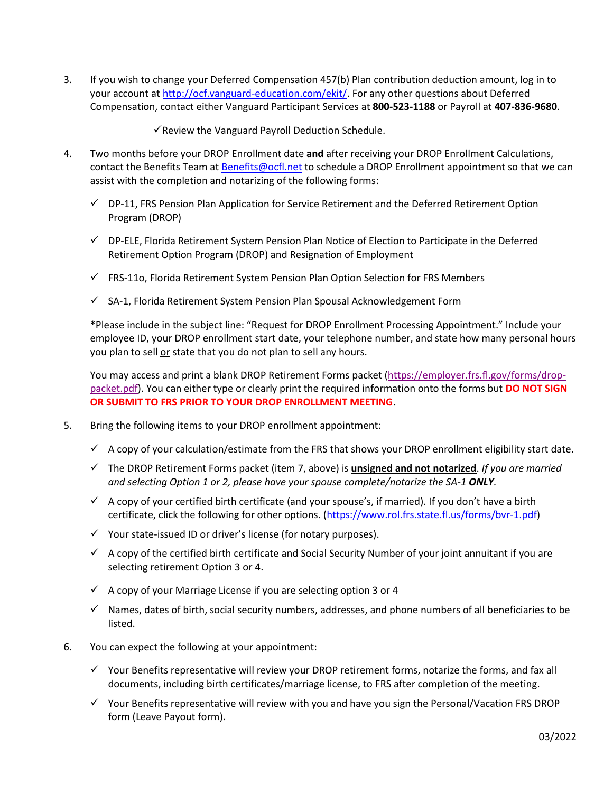3. If you wish to change your Deferred Compensation 457(b) Plan contribution deduction amount, log in to your account a[t http://ocf.vanguard-education.com/ekit/.](http://ocf.vanguard-education.com/ekit/) For any other questions about Deferred Compensation, contact either Vanguard Participant Services at **800-523-1188** or Payroll at **407-836-9680**.

 $\checkmark$  Review the Vanguard Payroll Deduction Schedule.

- 4. Two months before your DROP Enrollment date **and** after receiving your DROP Enrollment Calculations, contact the Benefits Team at [Benefits@ocfl.net](mailto:Benefits@ocfl.net) to schedule a DROP Enrollment appointment so that we can assist with the completion and notarizing of the following forms:
	- $\checkmark$  DP-11, FRS Pension Plan Application for Service Retirement and the Deferred Retirement Option Program (DROP)
	- ✓ DP-ELE, Florida Retirement System Pension Plan Notice of Election to Participate in the Deferred Retirement Option Program (DROP) and Resignation of Employment
	- $\checkmark$  FRS-11o, Florida Retirement System Pension Plan Option Selection for FRS Members
	- ✓ SA-1, Florida Retirement System Pension Plan Spousal Acknowledgement Form

\*Please include in the subject line: "Request for DROP Enrollment Processing Appointment." Include your employee ID, your DROP enrollment start date, your telephone number, and state how many personal hours you plan to sell or state that you do not plan to sell any hours.

You may access and print a blank DROP Retirement Forms packet [\(https://employer.frs.fl.gov/forms/drop](https://employer.frs.fl.gov/forms/drop-packet.pdf)[packet.pdf\)](https://employer.frs.fl.gov/forms/drop-packet.pdf). You can either type or clearly print the required information onto the forms but **DO NOT SIGN OR SUBMIT TO FRS PRIOR TO YOUR DROP ENROLLMENT MEETING.**

- 5. Bring the following items to your DROP enrollment appointment:
	- $\checkmark$  A copy of your calculation/estimate from the FRS that shows your DROP enrollment eligibility start date.
	- ✓ The DROP Retirement Forms packet (item 7, above) is **unsigned and not notarized**. *If you are married and selecting Option 1 or 2, please have your spouse complete/notarize the SA-1 ONLY.*
	- $\checkmark$  A copy of your certified birth certificate (and your spouse's, if married). If you don't have a birth certificate, click the following for other options. [\(https://www.rol.frs.state.fl.us/forms/bvr-1.pdf\)](https://www.rol.frs.state.fl.us/forms/bvr-1.pdf)
	- ✓ Your state-issued ID or driver's license (for notary purposes).
	- $\checkmark$  A copy of the certified birth certificate and Social Security Number of your joint annuitant if you are selecting retirement Option 3 or 4.
	- $\checkmark$  A copy of your Marriage License if you are selecting option 3 or 4
	- $\checkmark$  Names, dates of birth, social security numbers, addresses, and phone numbers of all beneficiaries to be listed.
- 6. You can expect the following at your appointment:
	- $\checkmark$  Your Benefits representative will review your DROP retirement forms, notarize the forms, and fax all documents, including birth certificates/marriage license, to FRS after completion of the meeting.
	- ✓ Your Benefits representative will review with you and have you sign the Personal/Vacation FRS DROP form (Leave Payout form).